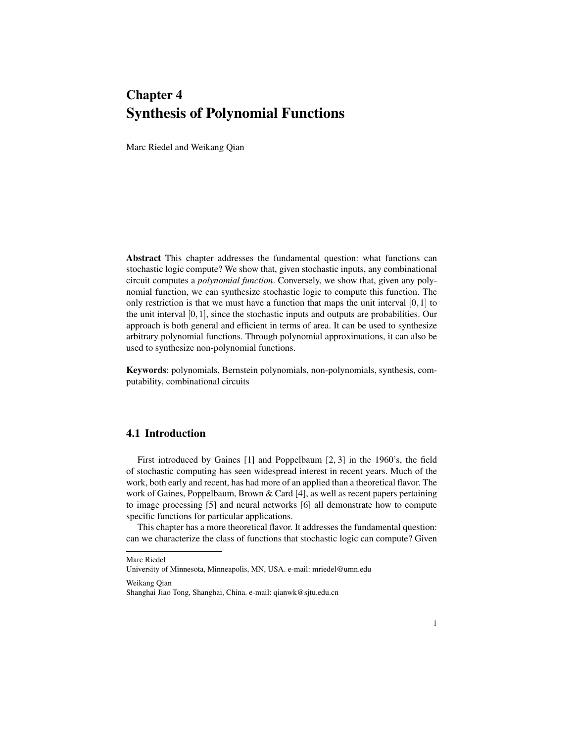# Chapter 4 Synthesis of Polynomial Functions

Marc Riedel and Weikang Qian

Abstract This chapter addresses the fundamental question: what functions can stochastic logic compute? We show that, given stochastic inputs, any combinational circuit computes a *polynomial function*. Conversely, we show that, given any polynomial function, we can synthesize stochastic logic to compute this function. The only restriction is that we must have a function that maps the unit interval  $[0,1]$  to the unit interval  $[0,1]$ , since the stochastic inputs and outputs are probabilities. Our approach is both general and efficient in terms of area. It can be used to synthesize arbitrary polynomial functions. Through polynomial approximations, it can also be used to synthesize non-polynomial functions.

Keywords: polynomials, Bernstein polynomials, non-polynomials, synthesis, computability, combinational circuits

## 4.1 Introduction

First introduced by Gaines [1] and Poppelbaum [2, 3] in the 1960's, the field of stochastic computing has seen widespread interest in recent years. Much of the work, both early and recent, has had more of an applied than a theoretical flavor. The work of Gaines, Poppelbaum, Brown & Card [4], as well as recent papers pertaining to image processing [5] and neural networks [6] all demonstrate how to compute specific functions for particular applications.

This chapter has a more theoretical flavor. It addresses the fundamental question: can we characterize the class of functions that stochastic logic can compute? Given

Weikang Qian

Marc Riedel

University of Minnesota, Minneapolis, MN, USA. e-mail: mriedel@umn.edu

Shanghai Jiao Tong, Shanghai, China. e-mail: qianwk@sjtu.edu.cn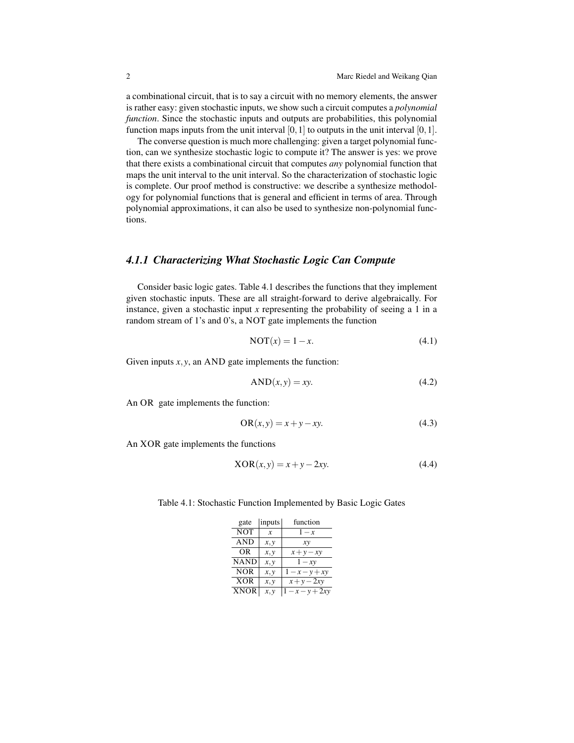a combinational circuit, that is to say a circuit with no memory elements, the answer is rather easy: given stochastic inputs, we show such a circuit computes a *polynomial function*. Since the stochastic inputs and outputs are probabilities, this polynomial function maps inputs from the unit interval  $[0,1]$  to outputs in the unit interval  $[0,1]$ .

The converse question is much more challenging: given a target polynomial function, can we synthesize stochastic logic to compute it? The answer is yes: we prove that there exists a combinational circuit that computes *any* polynomial function that maps the unit interval to the unit interval. So the characterization of stochastic logic is complete. Our proof method is constructive: we describe a synthesize methodology for polynomial functions that is general and efficient in terms of area. Through polynomial approximations, it can also be used to synthesize non-polynomial functions.

## *4.1.1 Characterizing What Stochastic Logic Can Compute*

Consider basic logic gates. Table 4.1 describes the functions that they implement given stochastic inputs. These are all straight-forward to derive algebraically. For instance, given a stochastic input *x* representing the probability of seeing a 1 in a random stream of 1's and 0's, a NOT gate implements the function

$$
NOT(x) = 1 - x.\tag{4.1}
$$

Given inputs  $x, y$ , an AND gate implements the function:

$$
AND(x, y) = xy.
$$
\n(4.2)

An OR gate implements the function:

$$
OR(x, y) = x + y - xy.
$$
\n
$$
(4.3)
$$

An XOR gate implements the functions

$$
XOR(x, y) = x + y - 2xy.
$$
\n
$$
(4.4)
$$

| gate        | inputs | function   |
|-------------|--------|------------|
| <b>NOT</b>  | x      | $1-x$      |
| AND         | x, y   | хy         |
| OR          | x, y   | $x+y-xy$   |
| <b>NAND</b> | x, y   | $-xy$      |
| <b>NOR</b>  | x, y   | $1-x-y+xy$ |
| <b>XOR</b>  | x, y   | $x+y-2xy$  |
| XNOR        | x, y   | $-x-y+2xy$ |

Table 4.1: Stochastic Function Implemented by Basic Logic Gates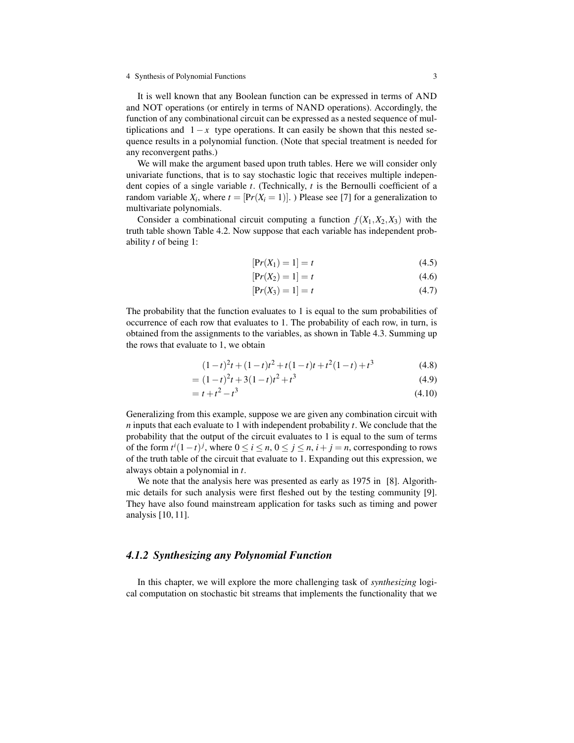It is well known that any Boolean function can be expressed in terms of AND and NOT operations (or entirely in terms of NAND operations). Accordingly, the function of any combinational circuit can be expressed as a nested sequence of multiplications and  $1 - x$  type operations. It can easily be shown that this nested sequence results in a polynomial function. (Note that special treatment is needed for any reconvergent paths.)

We will make the argument based upon truth tables. Here we will consider only univariate functions, that is to say stochastic logic that receives multiple independent copies of a single variable *t*. (Technically, *t* is the Bernoulli coefficient of a random variable  $X_i$ , where  $t = [Pr(X_i = 1)]$ . ) Please see [7] for a generalization to multivariate polynomials.

Consider a combinational circuit computing a function  $f(X_1, X_2, X_3)$  with the truth table shown Table 4.2. Now suppose that each variable has independent probability *t* of being 1:

$$
[\Pr(X_1) = 1] = t \tag{4.5}
$$

$$
[\Pr(X_2) = 1] = t \tag{4.6}
$$

$$
[\Pr(X_3) = 1] = t \tag{4.7}
$$

The probability that the function evaluates to 1 is equal to the sum probabilities of occurrence of each row that evaluates to 1. The probability of each row, in turn, is obtained from the assignments to the variables, as shown in Table 4.3. Summing up the rows that evaluate to 1, we obtain

$$
(1-t)^{2}t + (1-t)t^{2} + t(1-t)t + t^{2}(1-t) + t^{3}
$$
\n(4.8)

$$
= (1-t)^2t + 3(1-t)t^2 + t^3
$$
\n(4.9)

$$
= t + t2 - t3
$$
 (4.10)

Generalizing from this example, suppose we are given any combination circuit with *n* inputs that each evaluate to 1 with independent probability *t*. We conclude that the probability that the output of the circuit evaluates to 1 is equal to the sum of terms of the form  $t^{i}(1-t)^{j}$ , where  $0 \le i \le n$ ,  $0 \le j \le n$ ,  $i + j = n$ , corresponding to rows of the truth table of the circuit that evaluate to 1. Expanding out this expression, we always obtain a polynomial in *t*.

We note that the analysis here was presented as early as 1975 in [8]. Algorithmic details for such analysis were first fleshed out by the testing community [9]. They have also found mainstream application for tasks such as timing and power analysis [10, 11].

## *4.1.2 Synthesizing any Polynomial Function*

In this chapter, we will explore the more challenging task of *synthesizing* logical computation on stochastic bit streams that implements the functionality that we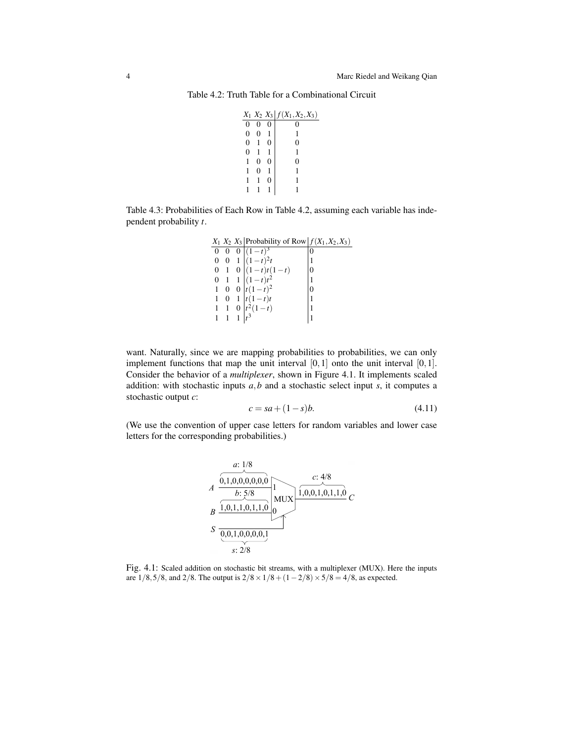Table 4.2: Truth Table for a Combinational Circuit

|                  |  | $X_1$ $X_2$ $X_3$ $f(X_1, X_2, X_3)$ |
|------------------|--|--------------------------------------|
|                  |  |                                      |
| $\boldsymbol{0}$ |  |                                      |
| $\overline{0}$   |  |                                      |
| 0                |  |                                      |
|                  |  |                                      |
|                  |  |                                      |
|                  |  |                                      |
|                  |  |                                      |
|                  |  |                                      |

Table 4.3: Probabilities of Each Row in Table 4.2, assuming each variable has independent probability *t*.

> $X_1$   $X_2$   $X_3$  Probability of Row  $f(X_1, X_2, X_3)$ 0 0 0  $(1-t)^3$  0 0 0 1  $(1-t)^2t$  1  $0 \quad 1 \quad 0 \mid (1-t)t(1-t)$  |0 0 1 1  $\left| (1-t)t^2 \right|$  1 1 0 0  $\int_0^1 t(1-t)^2$  $\begin{bmatrix} 0 \\ 1 \end{bmatrix}$  $\begin{array}{ccc|c} 1 & 0 & 1 & t(1-t)t \\ 1 & 1 & 0 & t^2(1-t) \end{array}$  1 1 1 0  $|t^2(1-t)|$  1  $1 \quad 1 \quad 1 \quad t^3$ <sup>3</sup> 1

want. Naturally, since we are mapping probabilities to probabilities, we can only implement functions that map the unit interval  $[0,1]$  onto the unit interval  $[0,1]$ . Consider the behavior of a *multiplexer*, shown in Figure 4.1. It implements scaled addition: with stochastic inputs *a*,*b* and a stochastic select input *s*, it computes a stochastic output *c*:

$$
c = sa + (1 - s)b.
$$
 (4.11)

(We use the convention of upper case letters for random variables and lower case letters for the corresponding probabilities.)



Fig. 4.1: Scaled addition on stochastic bit streams, with a multiplexer (MUX). Here the inputs are  $1/8,5/8$ , and  $2/8$ . The output is  $2/8 \times 1/8 + (1-2/8) \times 5/8 = 4/8$ , as expected.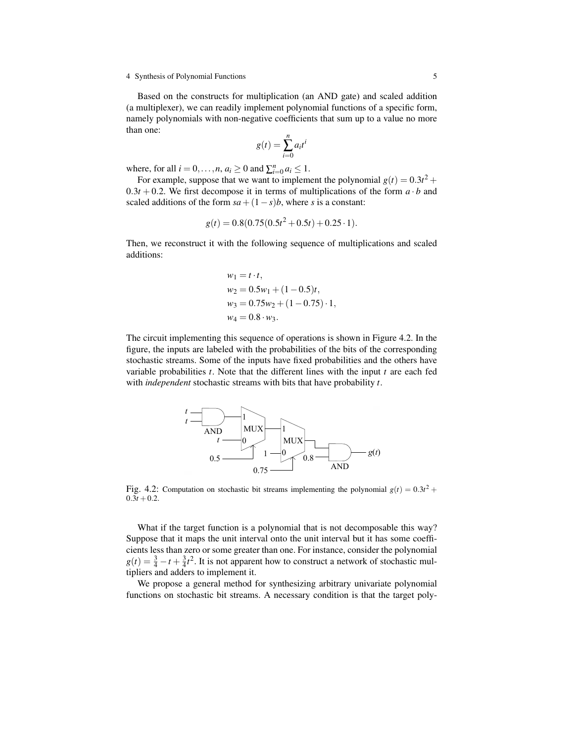Based on the constructs for multiplication (an AND gate) and scaled addition (a multiplexer), we can readily implement polynomial functions of a specific form, namely polynomials with non-negative coefficients that sum up to a value no more than one:

$$
g(t) = \sum_{i=0}^{n} a_i t^i
$$

where, for all  $i = 0, \ldots, n, a_i \ge 0$  and  $\sum_{i=0}^{n} a_i \le 1$ .

For example, suppose that we want to implement the polynomial  $g(t) = 0.3t^2 +$  $0.3t + 0.2$ . We first decompose it in terms of multiplications of the form  $a \cdot b$  and scaled additions of the form  $sa + (1 - s)b$ , where *s* is a constant:

$$
g(t) = 0.8(0.75(0.5t^2 + 0.5t) + 0.25 \cdot 1).
$$

Then, we reconstruct it with the following sequence of multiplications and scaled additions:

$$
w_1 = t \cdot t,
$$
  
\n
$$
w_2 = 0.5w_1 + (1 - 0.5)t,
$$
  
\n
$$
w_3 = 0.75w_2 + (1 - 0.75) \cdot 1,
$$
  
\n
$$
w_4 = 0.8 \cdot w_3.
$$

The circuit implementing this sequence of operations is shown in Figure 4.2. In the figure, the inputs are labeled with the probabilities of the bits of the corresponding stochastic streams. Some of the inputs have fixed probabilities and the others have variable probabilities *t*. Note that the different lines with the input *t* are each fed with *independent* stochastic streams with bits that have probability *t*.



Fig. 4.2: Computation on stochastic bit streams implementing the polynomial  $g(t) = 0.3t^2 +$  $0.3t + 0.2$ .

What if the target function is a polynomial that is not decomposable this way? Suppose that it maps the unit interval onto the unit interval but it has some coefficients less than zero or some greater than one. For instance, consider the polynomial  $g(t) = \frac{3}{4} - t + \frac{3}{4}t^2$ . It is not apparent how to construct a network of stochastic multipliers and adders to implement it.

We propose a general method for synthesizing arbitrary univariate polynomial functions on stochastic bit streams. A necessary condition is that the target poly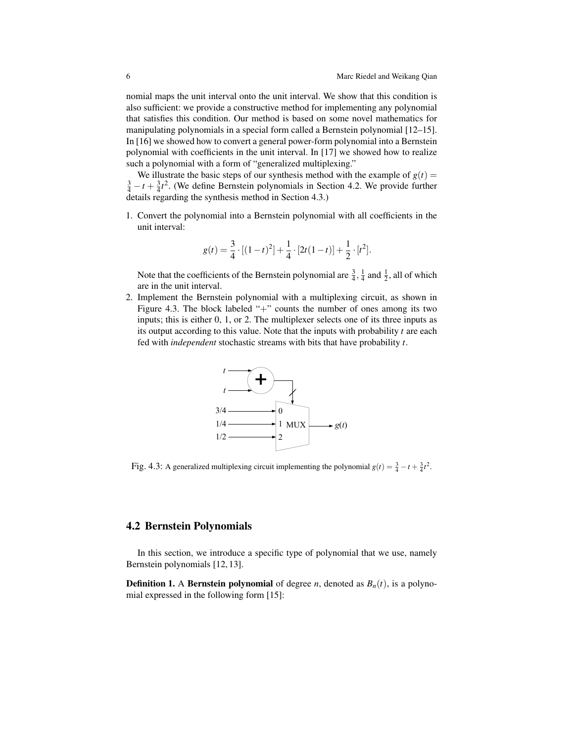nomial maps the unit interval onto the unit interval. We show that this condition is also sufficient: we provide a constructive method for implementing any polynomial that satisfies this condition. Our method is based on some novel mathematics for manipulating polynomials in a special form called a Bernstein polynomial [12–15]. In [16] we showed how to convert a general power-form polynomial into a Bernstein polynomial with coefficients in the unit interval. In [17] we showed how to realize such a polynomial with a form of "generalized multiplexing."

We illustrate the basic steps of our synthesis method with the example of  $g(t)$  =  $\frac{3}{4} - t + \frac{3}{4}t^2$ . (We define Bernstein polynomials in Section 4.2. We provide further details regarding the synthesis method in Section 4.3.)

1. Convert the polynomial into a Bernstein polynomial with all coefficients in the unit interval:

$$
g(t) = \frac{3}{4} \cdot [(1-t)^2] + \frac{1}{4} \cdot [2t(1-t)] + \frac{1}{2} \cdot [t^2].
$$

Note that the coefficients of the Bernstein polynomial are  $\frac{3}{4}$ ,  $\frac{1}{4}$  and  $\frac{1}{2}$ , all of which are in the unit interval.

2. Implement the Bernstein polynomial with a multiplexing circuit, as shown in Figure 4.3. The block labeled "+" counts the number of ones among its two inputs; this is either 0, 1, or 2. The multiplexer selects one of its three inputs as its output according to this value. Note that the inputs with probability *t* are each fed with *independent* stochastic streams with bits that have probability *t*.



Fig. 4.3: A generalized multiplexing circuit implementing the polynomial  $g(t) = \frac{3}{4} - t + \frac{3}{4}t^2$ .

# 4.2 Bernstein Polynomials

In this section, we introduce a specific type of polynomial that we use, namely Bernstein polynomials [12, 13].

**Definition 1.** A **Bernstein polynomial** of degree *n*, denoted as  $B_n(t)$ , is a polynomial expressed in the following form [15]: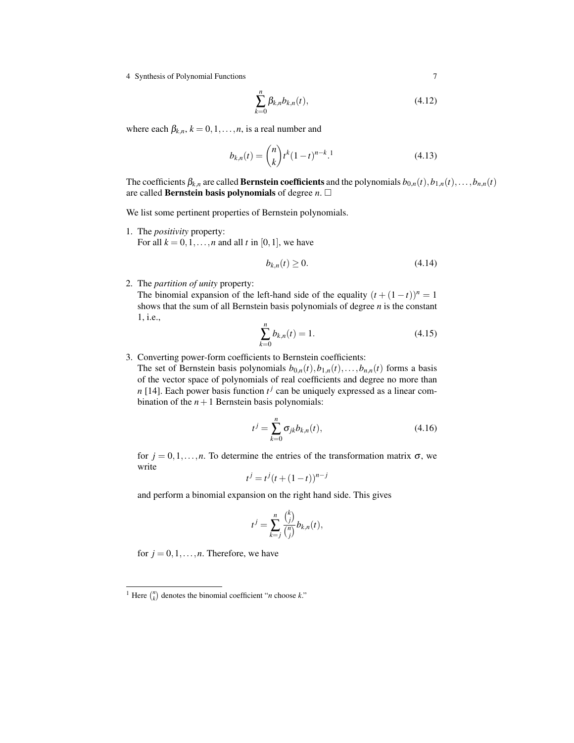$$
\sum_{k=0}^{n} \beta_{k,n} b_{k,n}(t),
$$
\n(4.12)

where each  $\beta_{k,n}$ ,  $k = 0, 1, \ldots, n$ , is a real number and

$$
b_{k,n}(t) = \binom{n}{k} t^k (1-t)^{n-k}.
$$
\n(4.13)

The coefficients  $\beta_{k,n}$  are called **Bernstein coefficients** and the polynomials  $b_{0,n}(t), b_{1,n}(t), \ldots, b_{n,n}(t)$ are called **Bernstein basis polynomials** of degree  $n$ .  $\Box$ 

We list some pertinent properties of Bernstein polynomials.

1. The *positivity* property: For all  $k = 0, 1, \ldots, n$  and all *t* in [0, 1], we have

$$
b_{k,n}(t) \ge 0. \tag{4.14}
$$

2. The *partition of unity* property:

The binomial expansion of the left-hand side of the equality  $(t + (1 - t))^n = 1$ shows that the sum of all Bernstein basis polynomials of degree *n* is the constant 1, i.e.,

$$
\sum_{k=0}^{n} b_{k,n}(t) = 1.
$$
\n(4.15)

3. Converting power-form coefficients to Bernstein coefficients:

The set of Bernstein basis polynomials  $b_{0,n}(t), b_{1,n}(t), \ldots, b_{n,n}(t)$  forms a basis of the vector space of polynomials of real coefficients and degree no more than *n* [14]. Each power basis function  $t^j$  can be uniquely expressed as a linear combination of the  $n+1$  Bernstein basis polynomials:

$$
t^{j} = \sum_{k=0}^{n} \sigma_{jk} b_{k,n}(t),
$$
\n(4.16)

for  $j = 0, 1, \ldots, n$ . To determine the entries of the transformation matrix  $\sigma$ , we write

$$
t^{j} = t^{j} (t + (1 - t))^{n - j}
$$

and perform a binomial expansion on the right hand side. This gives

$$
t^j = \sum_{k=j}^n \frac{\binom{k}{j}}{\binom{n}{j}} b_{k,n}(t),
$$

for  $j = 0, 1, \ldots, n$ . Therefore, we have

<sup>&</sup>lt;sup>1</sup> Here  $\binom{n}{k}$  denotes the binomial coefficient "*n* choose *k*."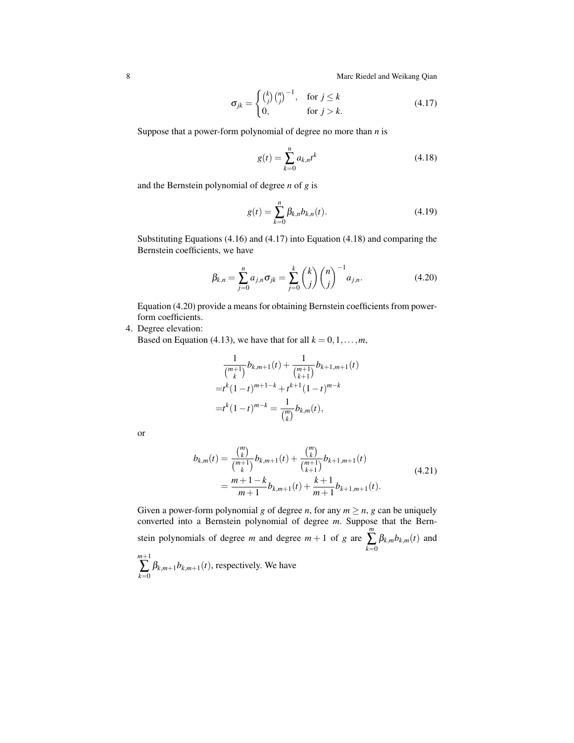8 Marc Riedel and Weikang Qian

$$
\sigma_{jk} = \begin{cases} {k \choose j} {n \choose j}^{-1}, & \text{for } j \le k \\ 0, & \text{for } j > k. \end{cases}
$$
 (4.17)

Suppose that a power-form polynomial of degree no more than *n* is

$$
g(t) = \sum_{k=0}^{n} a_{k,n} t^k
$$
 (4.18)

and the Bernstein polynomial of degree *n* of *g* is

$$
g(t) = \sum_{k=0}^{n} \beta_{k,n} b_{k,n}(t).
$$
 (4.19)

Substituting Equations (4.16) and (4.17) into Equation (4.18) and comparing the Bernstein coefficients, we have

$$
\beta_{k,n} = \sum_{j=0}^{n} a_{j,n} \sigma_{jk} = \sum_{j=0}^{k} {k \choose j} {n \choose j}^{-1} a_{j,n}.
$$
 (4.20)

Equation (4.20) provide a means for obtaining Bernstein coefficients from powerform coefficients.

4. Degree elevation:

Based on Equation (4.13), we have that for all  $k = 0, 1, \ldots, m$ ,

$$
\frac{1}{\binom{m+1}{k}}b_{k,m+1}(t) + \frac{1}{\binom{m+1}{k+1}}b_{k+1,m+1}(t)
$$
  
= $t^k(1-t)^{m+1-k} + t^{k+1}(1-t)^{m-k}$   
= $t^k(1-t)^{m-k} = \frac{1}{\binom{m}{k}}b_{k,m}(t),$ 

or

$$
b_{k,m}(t) = \frac{\binom{m}{k}}{\binom{m+1}{k}} b_{k,m+1}(t) + \frac{\binom{m}{k}}{\binom{m+1}{k+1}} b_{k+1,m+1}(t)
$$
  
= 
$$
\frac{m+1-k}{m+1} b_{k,m+1}(t) + \frac{k+1}{m+1} b_{k+1,m+1}(t).
$$
 (4.21)

Given a power-form polynomial *g* of degree *n*, for any  $m \ge n$ , *g* can be uniquely converted into a Bernstein polynomial of degree *m*. Suppose that the Bernstein polynomials of degree  $m$  and degree  $m + 1$  of  $g$  are *m* ∑ *k*=0  $\beta_{k,m} b_{k,m}(t)$  and *m*+1 ∑ *k*=0  $\beta_{k,m+1}b_{k,m+1}(t)$ , respectively. We have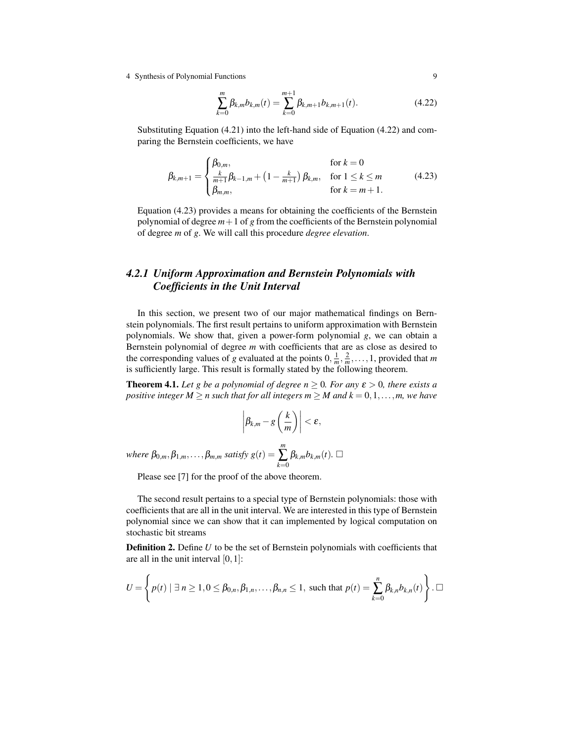$$
\sum_{k=0}^{m} \beta_{k,m} b_{k,m}(t) = \sum_{k=0}^{m+1} \beta_{k,m+1} b_{k,m+1}(t).
$$
 (4.22)

Substituting Equation (4.21) into the left-hand side of Equation (4.22) and comparing the Bernstein coefficients, we have

$$
\beta_{k,m+1} = \begin{cases}\n\beta_{0,m}, & \text{for } k = 0 \\
\frac{k}{m+1}\beta_{k-1,m} + \left(1 - \frac{k}{m+1}\right)\beta_{k,m}, & \text{for } 1 \le k \le m \\
\beta_{m,m}, & \text{for } k = m+1.\n\end{cases}
$$
\n(4.23)

Equation (4.23) provides a means for obtaining the coefficients of the Bernstein polynomial of degree  $m+1$  of *g* from the coefficients of the Bernstein polynomial of degree *m* of *g*. We will call this procedure *degree elevation*.

# *4.2.1 Uniform Approximation and Bernstein Polynomials with Coefficients in the Unit Interval*

In this section, we present two of our major mathematical findings on Bernstein polynomials. The first result pertains to uniform approximation with Bernstein polynomials. We show that, given a power-form polynomial *g*, we can obtain a Bernstein polynomial of degree *m* with coefficients that are as close as desired to the corresponding values of *g* evaluated at the points  $0, \frac{1}{m}, \frac{2}{m}, \ldots, 1$ , provided that *m* is sufficiently large. This result is formally stated by the following theorem.

**Theorem 4.1.** Let g be a polynomial of degree  $n \geq 0$ . For any  $\varepsilon > 0$ , there exists a *positive integer*  $M \ge n$  *such that for all integers*  $m \ge M$  *and*  $k = 0, 1, \ldots, m$ *, we have* 

$$
\left|\beta_{k,m}-g\left(\frac{k}{m}\right)\right|<\varepsilon,
$$

 $where \ \beta_{0,m}, \beta_{1,m}, \ldots, \beta_{m,m} \ satisfy \ g(t) =$ *m* ∑ *k*=0  $\beta_{k,m} b_{k,m}(t)$ .

Please see [7] for the proof of the above theorem.

The second result pertains to a special type of Bernstein polynomials: those with coefficients that are all in the unit interval. We are interested in this type of Bernstein polynomial since we can show that it can implemented by logical computation on stochastic bit streams

**Definition 2.** Define *U* to be the set of Bernstein polynomials with coefficients that are all in the unit interval  $[0,1]$ :

$$
U=\left\{p(t) \mid \exists n\geq 1, 0\leq \beta_{0,n}, \beta_{1,n},\ldots,\beta_{n,n}\leq 1, \text{ such that } p(t)=\sum_{k=0}^n \beta_{k,n}b_{k,n}(t)\right\}.\square
$$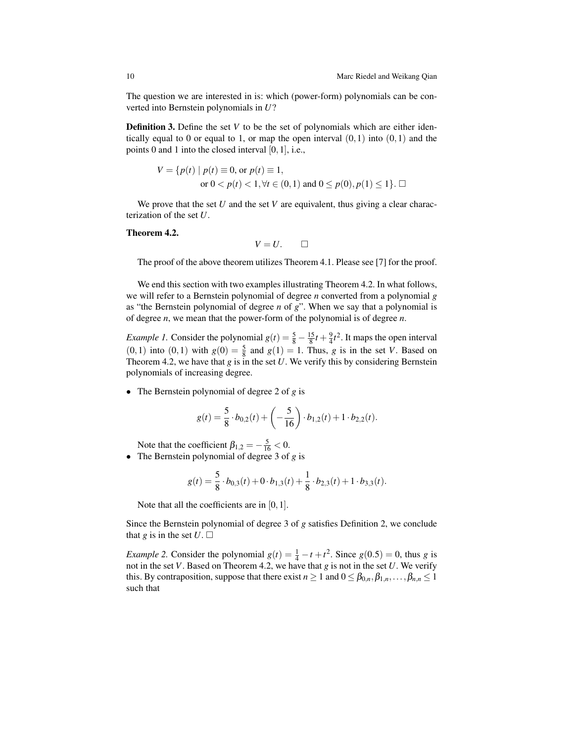The question we are interested in is: which (power-form) polynomials can be converted into Bernstein polynomials in *U*?

**Definition 3.** Define the set *V* to be the set of polynomials which are either identically equal to 0 or equal to 1, or map the open interval  $(0,1)$  into  $(0,1)$  and the points 0 and 1 into the closed interval [0,1], i.e.,

$$
V = \{ p(t) \mid p(t) \equiv 0, \text{ or } p(t) \equiv 1, \text{ or } 0 < p(t) < 1, \forall t \in (0, 1) \text{ and } 0 \le p(0), p(1) \le 1 \}. \square
$$

We prove that the set *U* and the set *V* are equivalent, thus giving a clear characterization of the set *U*.

#### Theorem 4.2.

$$
V=U.\qquad \Box
$$

The proof of the above theorem utilizes Theorem 4.1. Please see [7] for the proof.

We end this section with two examples illustrating Theorem 4.2. In what follows, we will refer to a Bernstein polynomial of degree *n* converted from a polynomial *g* as "the Bernstein polynomial of degree *n* of *g*". When we say that a polynomial is of degree *n*, we mean that the power-form of the polynomial is of degree *n*.

*Example 1*. Consider the polynomial  $g(t) = \frac{5}{8} - \frac{15}{8}t + \frac{9}{4}t^2$ . It maps the open interval  $(0, 1)$  into  $(0, 1)$  with  $g(0) = \frac{5}{8}$  and  $g(1) = 1$ . Thus, *g* is in the set *V*. Based on Theorem 4.2, we have that  $g$  is in the set  $U$ . We verify this by considering Bernstein polynomials of increasing degree.

• The Bernstein polynomial of degree 2 of *g* is

$$
g(t) = \frac{5}{8} \cdot b_{0,2}(t) + \left(-\frac{5}{16}\right) \cdot b_{1,2}(t) + 1 \cdot b_{2,2}(t).
$$

Note that the coefficient  $\beta_{1,2} = -\frac{5}{16} < 0$ .

• The Bernstein polynomial of degree 3 of *g* is

$$
g(t) = \frac{5}{8} \cdot b_{0,3}(t) + 0 \cdot b_{1,3}(t) + \frac{1}{8} \cdot b_{2,3}(t) + 1 \cdot b_{3,3}(t).
$$

Note that all the coefficients are in [0, 1].

Since the Bernstein polynomial of degree 3 of *g* satisfies Definition 2, we conclude that *g* is in the set  $U \square$ 

*Example 2*. Consider the polynomial  $g(t) = \frac{1}{4} - t + t^2$ . Since  $g(0.5) = 0$ , thus *g* is not in the set *V*. Based on Theorem 4.2, we have that *g* is not in the set *U*. We verify this. By contraposition, suppose that there exist  $n \ge 1$  and  $0 \le \beta_{0,n}, \beta_{1,n}, \ldots, \beta_{n,n} \le 1$ such that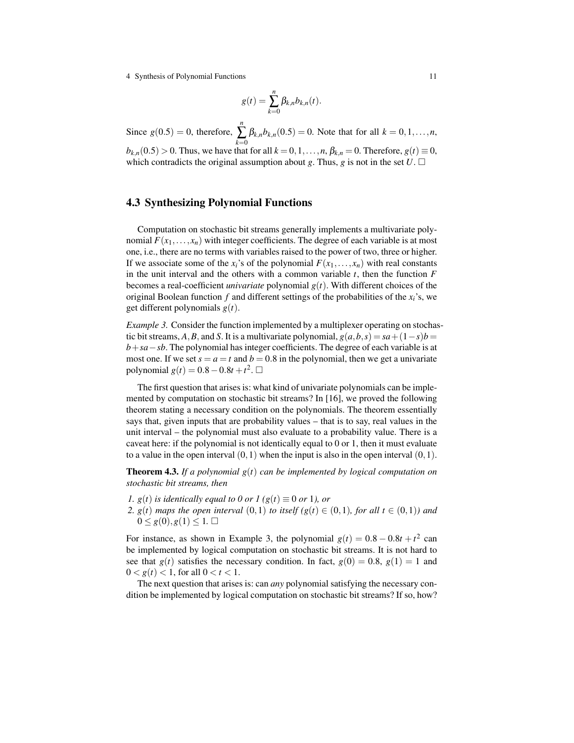$$
g(t) = \sum_{k=0}^n \beta_{k,n} b_{k,n}(t).
$$

Since  $g(0.5) = 0$ , therefore, *n* ∑ *k*=0  $\beta_{k,n}b_{k,n}(0.5) = 0$ . Note that for all  $k = 0, 1, ..., n$ ,  $b_{k,n}(0.5) > 0$ . Thus, we have that for all  $k = 0, 1, \ldots, n$ ,  $\beta_{k,n} = 0$ . Therefore,  $g(t) \equiv 0$ , which contradicts the original assumption about *g*. Thus, *g* is not in the set  $U \square$ 

## 4.3 Synthesizing Polynomial Functions

Computation on stochastic bit streams generally implements a multivariate polynomial  $F(x_1,...,x_n)$  with integer coefficients. The degree of each variable is at most one, i.e., there are no terms with variables raised to the power of two, three or higher. If we associate some of the  $x_i$ 's of the polynomial  $F(x_1,...,x_n)$  with real constants in the unit interval and the others with a common variable *t*, then the function *F* becomes a real-coefficient *univariate* polynomial *g*(*t*). With different choices of the original Boolean function *f* and different settings of the probabilities of the *xi*'s, we get different polynomials *g*(*t*).

*Example 3.* Consider the function implemented by a multiplexer operating on stochastic bit streams, *A*, *B*, and *S*. It is a multivariate polynomial,  $g(a,b,s) = sa + (1-s)b$ *b*+*sa*−*sb*. The polynomial has integer coefficients. The degree of each variable is at most one. If we set  $s = a = t$  and  $b = 0.8$  in the polynomial, then we get a univariate polynomial *g*(*t*) = 0.8 − 0.8*t* + *t*<sup>2</sup>. □

The first question that arises is: what kind of univariate polynomials can be implemented by computation on stochastic bit streams? In [16], we proved the following theorem stating a necessary condition on the polynomials. The theorem essentially says that, given inputs that are probability values – that is to say, real values in the unit interval – the polynomial must also evaluate to a probability value. There is a caveat here: if the polynomial is not identically equal to 0 or 1, then it must evaluate to a value in the open interval  $(0,1)$  when the input is also in the open interval  $(0,1)$ .

Theorem 4.3. *If a polynomial g*(*t*) *can be implemented by logical computation on stochastic bit streams, then*

*1.*  $g(t)$  *is identically equal to 0 or 1* ( $g(t) \equiv 0$  *or* 1*), or* 

2.  $g(t)$  *maps the open interval*  $(0,1)$  *to itself*  $(g(t) \in (0,1)$ *, for all*  $t \in (0,1)$ *)* and  $0 \leq g(0), g(1) \leq 1.$ 

For instance, as shown in Example 3, the polynomial  $g(t) = 0.8 - 0.8t + t^2$  can be implemented by logical computation on stochastic bit streams. It is not hard to see that  $g(t)$  satisfies the necessary condition. In fact,  $g(0) = 0.8$ ,  $g(1) = 1$  and  $0 < g(t) < 1$ , for all  $0 < t < 1$ .

The next question that arises is: can *any* polynomial satisfying the necessary condition be implemented by logical computation on stochastic bit streams? If so, how?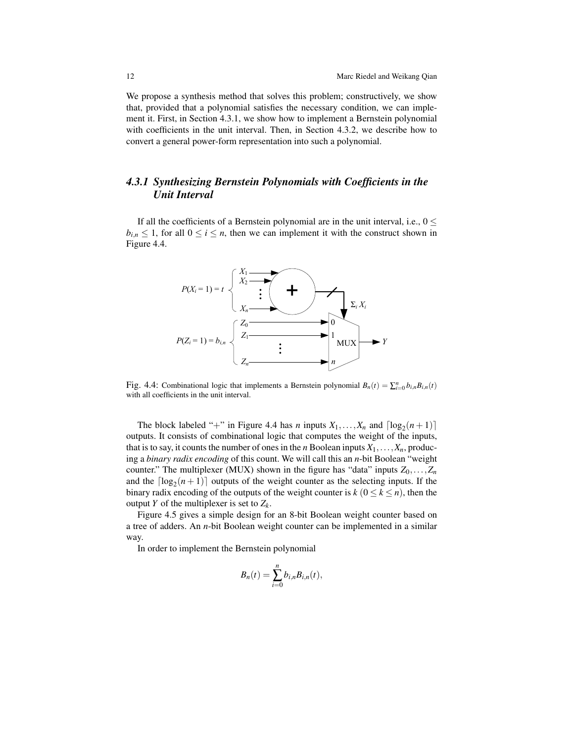We propose a synthesis method that solves this problem; constructively, we show that, provided that a polynomial satisfies the necessary condition, we can implement it. First, in Section 4.3.1, we show how to implement a Bernstein polynomial with coefficients in the unit interval. Then, in Section 4.3.2, we describe how to convert a general power-form representation into such a polynomial.

# *4.3.1 Synthesizing Bernstein Polynomials with Coefficients in the Unit Interval*

If all the coefficients of a Bernstein polynomial are in the unit interval, i.e.,  $0 \leq$  $b_{i,n} \leq 1$ , for all  $0 \leq i \leq n$ , then we can implement it with the construct shown in Figure 4.4.



Fig. 4.4: Combinational logic that implements a Bernstein polynomial  $B_n(t) = \sum_{i=0}^n b_{i,n} B_{i,n}(t)$ with all coefficients in the unit interval.

The block labeled "+" in Figure 4.4 has *n* inputs  $X_1, \ldots, X_n$  and  $\lceil \log_2(n+1) \rceil$ outputs. It consists of combinational logic that computes the weight of the inputs, that is to say, it counts the number of ones in the *n* Boolean inputs  $X_1, \ldots, X_n$ , producing a *binary radix encoding* of this count. We will call this an *n*-bit Boolean "weight counter." The multiplexer (MUX) shown in the figure has "data" inputs  $Z_0, \ldots, Z_n$ and the  $\lceil \log_2(n+1) \rceil$  outputs of the weight counter as the selecting inputs. If the binary radix encoding of the outputs of the weight counter is  $k$  ( $0 \le k \le n$ ), then the output *Y* of the multiplexer is set to *Z<sup>k</sup>* .

Figure 4.5 gives a simple design for an 8-bit Boolean weight counter based on a tree of adders. An *n*-bit Boolean weight counter can be implemented in a similar way.

In order to implement the Bernstein polynomial

$$
B_n(t)=\sum_{i=0}^n b_{i,n}B_{i,n}(t),
$$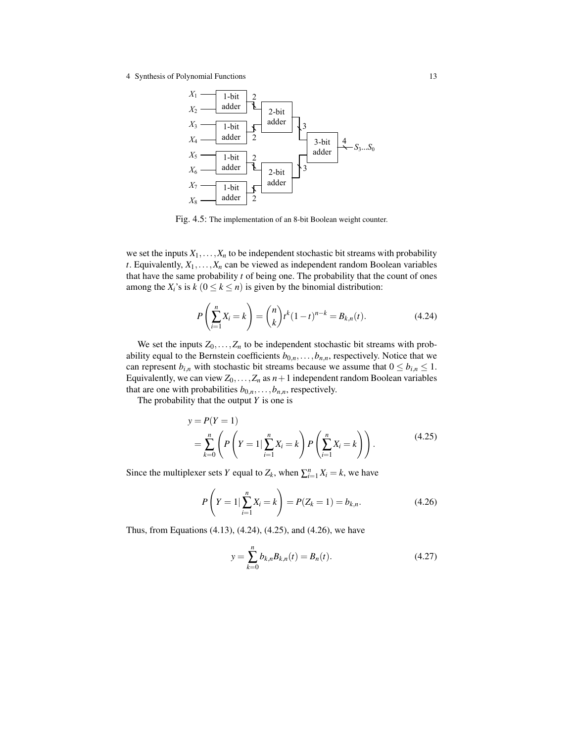

Fig. 4.5: The implementation of an 8-bit Boolean weight counter.

we set the inputs  $X_1, \ldots, X_n$  to be independent stochastic bit streams with probability *t*. Equivalently,  $X_1, \ldots, X_n$  can be viewed as independent random Boolean variables that have the same probability *t* of being one. The probability that the count of ones among the  $X_i$ 's is  $k$  ( $0 \le k \le n$ ) is given by the binomial distribution:

$$
P\left(\sum_{i=1}^{n} X_i = k\right) = {n \choose k} t^k (1-t)^{n-k} = B_{k,n}(t).
$$
 (4.24)

We set the inputs  $Z_0$ ,..., $Z_n$  to be independent stochastic bit streams with probability equal to the Bernstein coefficients  $b_{0,n}, \ldots, b_{n,n}$ , respectively. Notice that we can represent  $b_{i,n}$  with stochastic bit streams because we assume that  $0 \leq b_{i,n} \leq 1$ . Equivalently, we can view  $Z_0$ ,..., $Z_n$  as  $n+1$  independent random Boolean variables that are one with probabilities  $b_{0,n}, \ldots, b_{n,n}$ , respectively.

The probability that the output *Y* is one is

$$
y = P(Y = 1)
$$
  
=  $\sum_{k=0}^{n} \left( P\left(Y = 1 | \sum_{i=1}^{n} X_i = k \right) P\left(\sum_{i=1}^{n} X_i = k \right) \right).$  (4.25)

Since the multiplexer sets *Y* equal to  $Z_k$ , when  $\sum_{i=1}^n X_i = k$ , we have

$$
P\left(Y=1|\sum_{i=1}^{n}X_{i}=k\right)=P(Z_{k}=1)=b_{k,n}.
$$
\n(4.26)

Thus, from Equations (4.13), (4.24), (4.25), and (4.26), we have

$$
y = \sum_{k=0}^{n} b_{k,n} B_{k,n}(t) = B_n(t).
$$
 (4.27)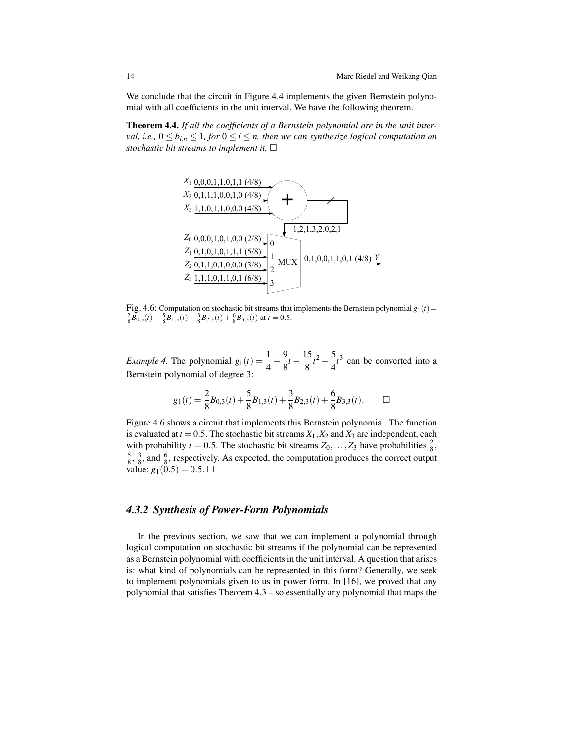We conclude that the circuit in Figure 4.4 implements the given Bernstein polynomial with all coefficients in the unit interval. We have the following theorem.

Theorem 4.4. *If all the coefficients of a Bernstein polynomial are in the unit interval, i.e.,*  $0 \le b_{i,n} \le 1$ *, for*  $0 \le i \le n$ *, then we can synthesize logical computation on stochastic bit streams to implement it.*



Fig. 4.6: Computation on stochastic bit streams that implements the Bernstein polynomial  $g_1(t)$  =  $\frac{2}{8}\overline{B}_{0,3}(t) + \frac{5}{8}\overline{B}_{1,3}(t) + \frac{3}{8}\overline{B}_{2,3}(t) + \frac{6}{8}\overline{B}_{3,3}(t)$  at  $t = 0.5$ .

*Example 4.* The polynomial  $g_1(t) = \frac{1}{4} + \frac{9}{8}$  $\frac{9}{8}t-\frac{15}{8}$  $\frac{15}{8}t^2 + \frac{5}{4}$  $\frac{3}{4}t^3$  can be converted into a Bernstein polynomial of degree 3:

$$
g_1(t) = \frac{2}{8}B_{0,3}(t) + \frac{5}{8}B_{1,3}(t) + \frac{3}{8}B_{2,3}(t) + \frac{6}{8}B_{3,3}(t). \square
$$

Figure 4.6 shows a circuit that implements this Bernstein polynomial. The function is evaluated at  $t = 0.5$ . The stochastic bit streams  $X_1, X_2$  and  $X_3$  are independent, each with probability  $t = 0.5$ . The stochastic bit streams  $Z_0, \ldots, Z_3$  have probabilities  $\frac{2}{8}$ ,  $\frac{5}{8}$ ,  $\frac{3}{8}$ , and  $\frac{6}{8}$ , respectively. As expected, the computation produces the correct output value:  $g_1(0.5) = 0.5$ .

## *4.3.2 Synthesis of Power-Form Polynomials*

In the previous section, we saw that we can implement a polynomial through logical computation on stochastic bit streams if the polynomial can be represented as a Bernstein polynomial with coefficients in the unit interval. A question that arises is: what kind of polynomials can be represented in this form? Generally, we seek to implement polynomials given to us in power form. In [16], we proved that any polynomial that satisfies Theorem 4.3 – so essentially any polynomial that maps the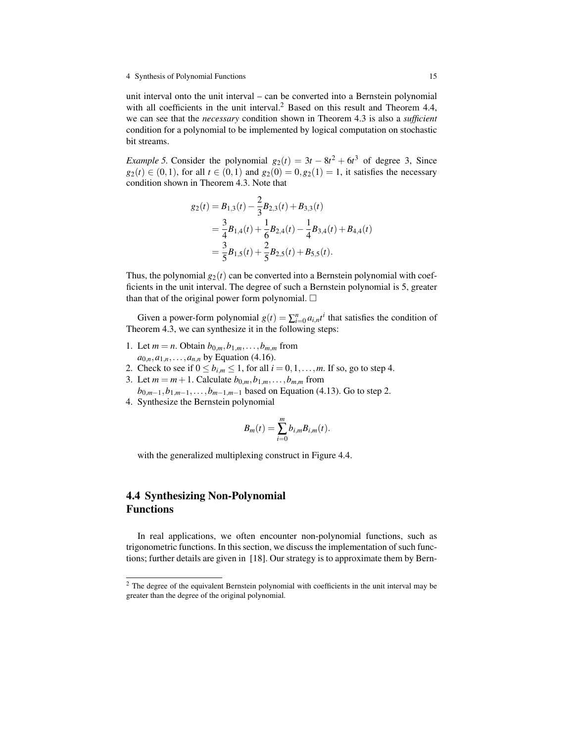unit interval onto the unit interval – can be converted into a Bernstein polynomial with all coefficients in the unit interval.<sup>2</sup> Based on this result and Theorem 4.4, we can see that the *necessary* condition shown in Theorem 4.3 is also a *sufficient* condition for a polynomial to be implemented by logical computation on stochastic bit streams.

*Example 5.* Consider the polynomial  $g_2(t) = 3t - 8t^2 + 6t^3$  of degree 3, Since  $g_2(t) \in (0,1)$ , for all  $t \in (0,1)$  and  $g_2(0) = 0, g_2(1) = 1$ , it satisfies the necessary condition shown in Theorem 4.3. Note that

$$
g_2(t) = B_{1,3}(t) - \frac{2}{3}B_{2,3}(t) + B_{3,3}(t)
$$
  
=  $\frac{3}{4}B_{1,4}(t) + \frac{1}{6}B_{2,4}(t) - \frac{1}{4}B_{3,4}(t) + B_{4,4}(t)$   
=  $\frac{3}{5}B_{1,5}(t) + \frac{2}{5}B_{2,5}(t) + B_{5,5}(t)$ .

Thus, the polynomial  $g_2(t)$  can be converted into a Bernstein polynomial with coefficients in the unit interval. The degree of such a Bernstein polynomial is 5, greater than that of the original power form polynomial.  $\square$ 

Given a power-form polynomial  $g(t) = \sum_{i=0}^{n} a_{i,n} t^i$  that satisfies the condition of Theorem 4.3, we can synthesize it in the following steps:

- 1. Let  $m = n$ . Obtain  $b_{0,m}, b_{1,m}, \ldots, b_{m,m}$  from  $a_{0,n}, a_{1,n}, \ldots, a_{n,n}$  by Equation (4.16).
- 2. Check to see if  $0 \le b_{i,m} \le 1$ , for all  $i = 0, 1, \ldots, m$ . If so, go to step 4.
- 3. Let *m* = *m* + 1. Calculate  $b_{0,m}, b_{1,m}, \ldots, b_{m,m}$  from
- *b*<sub>0</sub>*m*−1,*b*<sub>1</sub>*m*−1,...,*b*<sub>*m*−1,*m*−1</sub> based on Equation (4.13). Go to step 2. 4. Synthesize the Bernstein polynomial

$$
\mathbf{1} \quad \mathbf{1}
$$

$$
B_m(t) = \sum_{i=0}^m b_{i,m} B_{i,m}(t).
$$

with the generalized multiplexing construct in Figure 4.4.

# 4.4 Synthesizing Non-Polynomial Functions

In real applications, we often encounter non-polynomial functions, such as trigonometric functions. In this section, we discuss the implementation of such functions; further details are given in [18]. Our strategy is to approximate them by Bern-

<sup>&</sup>lt;sup>2</sup> The degree of the equivalent Bernstein polynomial with coefficients in the unit interval may be greater than the degree of the original polynomial.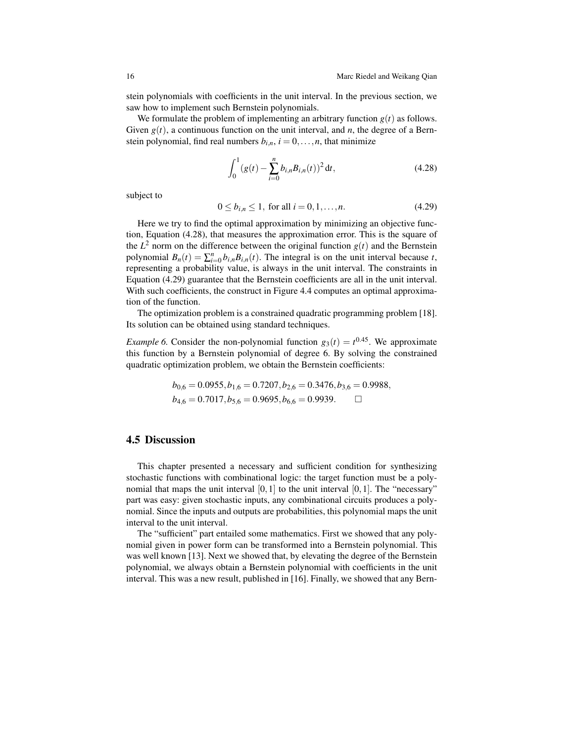stein polynomials with coefficients in the unit interval. In the previous section, we saw how to implement such Bernstein polynomials.

We formulate the problem of implementing an arbitrary function  $g(t)$  as follows. Given  $g(t)$ , a continuous function on the unit interval, and *n*, the degree of a Bernstein polynomial, find real numbers  $b_{i,n}$ ,  $i = 0, \ldots, n$ , that minimize

$$
\int_0^1 (g(t) - \sum_{i=0}^n b_{i,n} B_{i,n}(t))^2 dt,
$$
\n(4.28)

subject to

$$
0 \le b_{i,n} \le 1, \text{ for all } i = 0, 1, \dots, n. \tag{4.29}
$$

Here we try to find the optimal approximation by minimizing an objective function, Equation (4.28), that measures the approximation error. This is the square of the  $L^2$  norm on the difference between the original function  $g(t)$  and the Bernstein polynomial  $B_n(t) = \sum_{i=0}^n b_{i,n} B_{i,n}(t)$ . The integral is on the unit interval because *t*, representing a probability value, is always in the unit interval. The constraints in Equation (4.29) guarantee that the Bernstein coefficients are all in the unit interval. With such coefficients, the construct in Figure 4.4 computes an optimal approximation of the function.

The optimization problem is a constrained quadratic programming problem [18]. Its solution can be obtained using standard techniques.

*Example 6.* Consider the non-polynomial function  $g_3(t) = t^{0.45}$ . We approximate this function by a Bernstein polynomial of degree 6. By solving the constrained quadratic optimization problem, we obtain the Bernstein coefficients:

$$
b_{0,6} = 0.0955, b_{1,6} = 0.7207, b_{2,6} = 0.3476, b_{3,6} = 0.9988,
$$
  
 $b_{4,6} = 0.7017, b_{5,6} = 0.9695, b_{6,6} = 0.9939.$ 

# 4.5 Discussion

This chapter presented a necessary and sufficient condition for synthesizing stochastic functions with combinational logic: the target function must be a polynomial that maps the unit interval  $[0,1]$  to the unit interval  $[0,1]$ . The "necessary" part was easy: given stochastic inputs, any combinational circuits produces a polynomial. Since the inputs and outputs are probabilities, this polynomial maps the unit interval to the unit interval.

The "sufficient" part entailed some mathematics. First we showed that any polynomial given in power form can be transformed into a Bernstein polynomial. This was well known [13]. Next we showed that, by elevating the degree of the Bernstein polynomial, we always obtain a Bernstein polynomial with coefficients in the unit interval. This was a new result, published in [16]. Finally, we showed that any Bern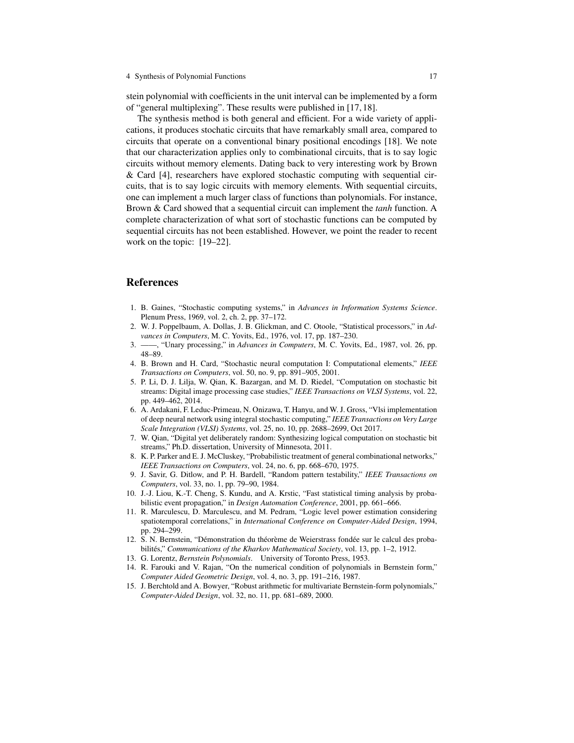stein polynomial with coefficients in the unit interval can be implemented by a form of "general multiplexing". These results were published in [17, 18].

The synthesis method is both general and efficient. For a wide variety of applications, it produces stochatic circuits that have remarkably small area, compared to circuits that operate on a conventional binary positional encodings [18]. We note that our characterization applies only to combinational circuits, that is to say logic circuits without memory elements. Dating back to very interesting work by Brown & Card [4], researchers have explored stochastic computing with sequential circuits, that is to say logic circuits with memory elements. With sequential circuits, one can implement a much larger class of functions than polynomials. For instance, Brown & Card showed that a sequential circuit can implement the *tanh* function. A complete characterization of what sort of stochastic functions can be computed by sequential circuits has not been established. However, we point the reader to recent work on the topic: [19–22].

## References

- 1. B. Gaines, "Stochastic computing systems," in *Advances in Information Systems Science*. Plenum Press, 1969, vol. 2, ch. 2, pp. 37–172.
- 2. W. J. Poppelbaum, A. Dollas, J. B. Glickman, and C. Otoole, "Statistical processors," in *Advances in Computers*, M. C. Yovits, Ed., 1976, vol. 17, pp. 187–230.
- 3. ——, "Unary processing," in *Advances in Computers*, M. C. Yovits, Ed., 1987, vol. 26, pp. 48–89.
- 4. B. Brown and H. Card, "Stochastic neural computation I: Computational elements," *IEEE Transactions on Computers*, vol. 50, no. 9, pp. 891–905, 2001.
- 5. P. Li, D. J. Lilja, W. Qian, K. Bazargan, and M. D. Riedel, "Computation on stochastic bit streams: Digital image processing case studies," *IEEE Transactions on VLSI Systems*, vol. 22, pp. 449–462, 2014.
- 6. A. Ardakani, F. Leduc-Primeau, N. Onizawa, T. Hanyu, and W. J. Gross, "Vlsi implementation of deep neural network using integral stochastic computing," *IEEE Transactions on Very Large Scale Integration (VLSI) Systems*, vol. 25, no. 10, pp. 2688–2699, Oct 2017.
- 7. W. Qian, "Digital yet deliberately random: Synthesizing logical computation on stochastic bit streams," Ph.D. dissertation, University of Minnesota, 2011.
- 8. K. P. Parker and E. J. McCluskey, "Probabilistic treatment of general combinational networks," *IEEE Transactions on Computers*, vol. 24, no. 6, pp. 668–670, 1975.
- 9. J. Savir, G. Ditlow, and P. H. Bardell, "Random pattern testability," *IEEE Transactions on Computers*, vol. 33, no. 1, pp. 79–90, 1984.
- 10. J.-J. Liou, K.-T. Cheng, S. Kundu, and A. Krstic, "Fast statistical timing analysis by probabilistic event propagation," in *Design Automation Conference*, 2001, pp. 661–666.
- 11. R. Marculescu, D. Marculescu, and M. Pedram, "Logic level power estimation considering spatiotemporal correlations," in *International Conference on Computer-Aided Design*, 1994, pp. 294–299.
- 12. S. N. Bernstein, "Démonstration du théorème de Weierstrass fondée sur le calcul des probabilités," *Communications of the Kharkov Mathematical Society*, vol. 13, pp. 1–2, 1912.
- 13. G. Lorentz, *Bernstein Polynomials*. University of Toronto Press, 1953.
- 14. R. Farouki and V. Rajan, "On the numerical condition of polynomials in Bernstein form," *Computer Aided Geometric Design*, vol. 4, no. 3, pp. 191–216, 1987.
- 15. J. Berchtold and A. Bowyer, "Robust arithmetic for multivariate Bernstein-form polynomials," *Computer-Aided Design*, vol. 32, no. 11, pp. 681–689, 2000.